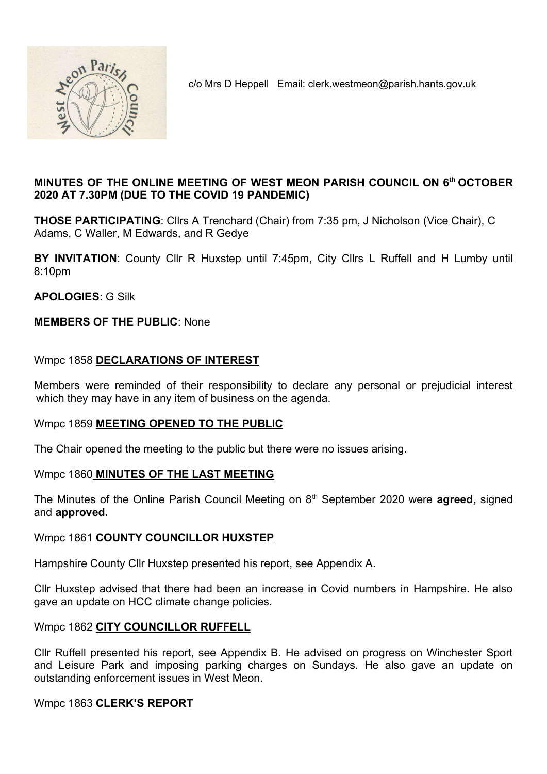

c/o Mrs D Heppell Email: clerk.westmeon@parish.hants.gov.uk

## MINUTES OF THE ONLINE MEETING OF WEST MEON PARISH COUNCIL ON 6th OCTOBER 2020 AT 7.30PM (DUE TO THE COVID 19 PANDEMIC)

THOSE PARTICIPATING: Cllrs A Trenchard (Chair) from 7:35 pm, J Nicholson (Vice Chair), C Adams, C Waller, M Edwards, and R Gedye

BY INVITATION: County Cllr R Huxstep until 7:45pm, City Cllrs L Ruffell and H Lumby until 8:10pm

APOLOGIES: G Silk

### MEMBERS OF THE PUBLIC: None

### Wmpc 1858 DECLARATIONS OF INTEREST

Members were reminded of their responsibility to declare any personal or prejudicial interest which they may have in any item of business on the agenda.

### Wmpc 1859 MEETING OPENED TO THE PUBLIC

The Chair opened the meeting to the public but there were no issues arising.

### Wmpc 1860 MINUTES OF THE LAST MEETING

The Minutes of the Online Parish Council Meeting on  $8<sup>th</sup>$  September 2020 were **agreed**, signed and approved.

### Wmpc 1861 COUNTY COUNCILLOR HUXSTEP

Hampshire County Cllr Huxstep presented his report, see Appendix A.

Cllr Huxstep advised that there had been an increase in Covid numbers in Hampshire. He also gave an update on HCC climate change policies.

### Wmpc 1862 CITY COUNCILLOR RUFFELL

Cllr Ruffell presented his report, see Appendix B. He advised on progress on Winchester Sport and Leisure Park and imposing parking charges on Sundays. He also gave an update on outstanding enforcement issues in West Meon.

### Wmpc 1863 CLERK'S REPORT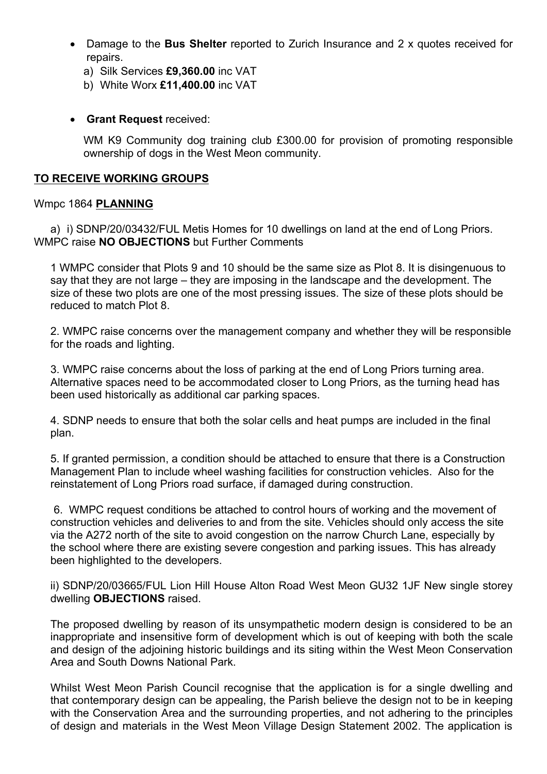- Damage to the Bus Shelter reported to Zurich Insurance and 2 x quotes received for repairs.
	- a) Silk Services £9,360.00 inc VAT
	- b) White Worx £11,400.00 inc VAT
- **Grant Request received:**

WM K9 Community dog training club £300.00 for provision of promoting responsible ownership of dogs in the West Meon community.

### TO RECEIVE WORKING GROUPS

### Wmpc 1864 PLANNING

a) i) SDNP/20/03432/FUL Metis Homes for 10 dwellings on land at the end of Long Priors. WMPC raise NO OBJECTIONS but Further Comments

1 WMPC consider that Plots 9 and 10 should be the same size as Plot 8. It is disingenuous to say that they are not large – they are imposing in the landscape and the development. The size of these two plots are one of the most pressing issues. The size of these plots should be reduced to match Plot 8.

2. WMPC raise concerns over the management company and whether they will be responsible for the roads and lighting.

3. WMPC raise concerns about the loss of parking at the end of Long Priors turning area. Alternative spaces need to be accommodated closer to Long Priors, as the turning head has been used historically as additional car parking spaces.

4. SDNP needs to ensure that both the solar cells and heat pumps are included in the final plan.

5. If granted permission, a condition should be attached to ensure that there is a Construction Management Plan to include wheel washing facilities for construction vehicles. Also for the reinstatement of Long Priors road surface, if damaged during construction.

6. WMPC request conditions be attached to control hours of working and the movement of construction vehicles and deliveries to and from the site. Vehicles should only access the site via the A272 north of the site to avoid congestion on the narrow Church Lane, especially by the school where there are existing severe congestion and parking issues. This has already been highlighted to the developers.

ii) SDNP/20/03665/FUL Lion Hill House Alton Road West Meon GU32 1JF New single storey dwelling OBJECTIONS raised.

The proposed dwelling by reason of its unsympathetic modern design is considered to be an inappropriate and insensitive form of development which is out of keeping with both the scale and design of the adjoining historic buildings and its siting within the West Meon Conservation Area and South Downs National Park.

Whilst West Meon Parish Council recognise that the application is for a single dwelling and that contemporary design can be appealing, the Parish believe the design not to be in keeping with the Conservation Area and the surrounding properties, and not adhering to the principles of design and materials in the West Meon Village Design Statement 2002. The application is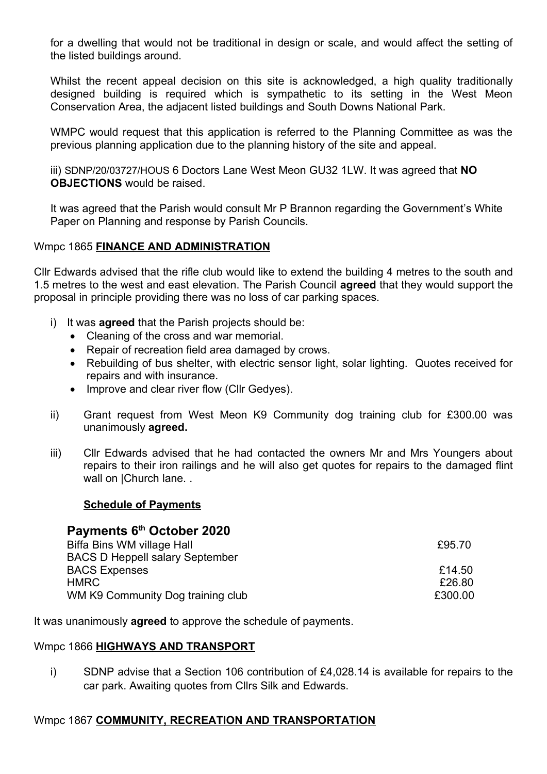for a dwelling that would not be traditional in design or scale, and would affect the setting of the listed buildings around.

Whilst the recent appeal decision on this site is acknowledged, a high quality traditionally designed building is required which is sympathetic to its setting in the West Meon Conservation Area, the adjacent listed buildings and South Downs National Park.

WMPC would request that this application is referred to the Planning Committee as was the previous planning application due to the planning history of the site and appeal.

iii) SDNP/20/03727/HOUS 6 Doctors Lane West Meon GU32 1LW. It was agreed that NO OBJECTIONS would be raised.

It was agreed that the Parish would consult Mr P Brannon regarding the Government's White Paper on Planning and response by Parish Councils.

### Wmpc 1865 FINANCE AND ADMINISTRATION

Cllr Edwards advised that the rifle club would like to extend the building 4 metres to the south and 1.5 metres to the west and east elevation. The Parish Council **agreed** that they would support the proposal in principle providing there was no loss of car parking spaces.

- i) It was **agreed** that the Parish projects should be:
	- Cleaning of the cross and war memorial.
	- Repair of recreation field area damaged by crows.
	- Rebuilding of bus shelter, with electric sensor light, solar lighting. Quotes received for repairs and with insurance.
	- Improve and clear river flow (Cllr Gedves).
- ii) Grant request from West Meon K9 Community dog training club for £300.00 was unanimously agreed.
- iii) Cllr Edwards advised that he had contacted the owners Mr and Mrs Youngers about repairs to their iron railings and he will also get quotes for repairs to the damaged flint wall on | Church lane. .

### Schedule of Payments

## Payments 6<sup>th</sup> October 2020 Biffa Bins WM village Hall **E95.70** BACS D Heppell salary September BACS Expenses **Expenses E14.50**  $HMRC$   $E26.80$ WM K9 Community Dog training club **E300.00**

It was unanimously **agreed** to approve the schedule of payments.

### Wmpc 1866 HIGHWAYS AND TRANSPORT

i) SDNP advise that a Section 106 contribution of £4,028.14 is available for repairs to the car park. Awaiting quotes from Cllrs Silk and Edwards.

### Wmpc 1867 COMMUNITY, RECREATION AND TRANSPORTATION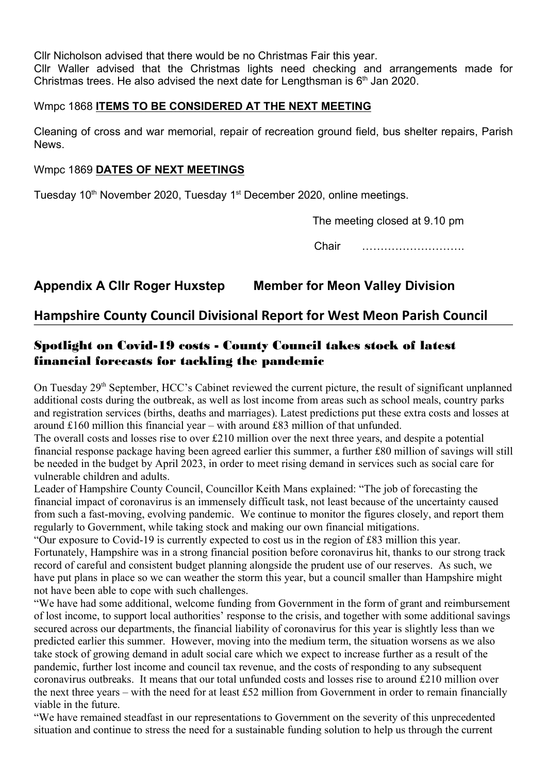Cllr Nicholson advised that there would be no Christmas Fair this year.

Cllr Waller advised that the Christmas lights need checking and arrangements made for Christmas trees. He also advised the next date for Lengthsman is  $6<sup>th</sup>$  Jan 2020.

## Wmpc 1868 ITEMS TO BE CONSIDERED AT THE NEXT MEETING

Cleaning of cross and war memorial, repair of recreation ground field, bus shelter repairs, Parish News.

## Wmpc 1869 DATES OF NEXT MEETINGS

Tuesday 10<sup>th</sup> November 2020, Tuesday 1<sup>st</sup> December 2020, online meetings.

The meeting closed at 9.10 pm

Chair ……………………….

# Appendix A Cllr Roger Huxstep Member for Meon Valley Division

## Hampshire County Council Divisional Report for West Meon Parish Council

## Spotlight on Covid-19 costs - County Council takes stock of latest financial forecasts for tackling the pandemic

On Tuesday 29<sup>th</sup> September, HCC's Cabinet reviewed the current picture, the result of significant unplanned additional costs during the outbreak, as well as lost income from areas such as school meals, country parks and registration services (births, deaths and marriages). Latest predictions put these extra costs and losses at around £160 million this financial year – with around £83 million of that unfunded.

The overall costs and losses rise to over £210 million over the next three years, and despite a potential financial response package having been agreed earlier this summer, a further £80 million of savings will still be needed in the budget by April 2023, in order to meet rising demand in services such as social care for vulnerable children and adults.

Leader of Hampshire County Council, Councillor Keith Mans explained: "The job of forecasting the financial impact of coronavirus is an immensely difficult task, not least because of the uncertainty caused from such a fast-moving, evolving pandemic. We continue to monitor the figures closely, and report them regularly to Government, while taking stock and making our own financial mitigations.

"Our exposure to Covid-19 is currently expected to cost us in the region of £83 million this year. Fortunately, Hampshire was in a strong financial position before coronavirus hit, thanks to our strong track record of careful and consistent budget planning alongside the prudent use of our reserves. As such, we have put plans in place so we can weather the storm this year, but a council smaller than Hampshire might not have been able to cope with such challenges.

"We have had some additional, welcome funding from Government in the form of grant and reimbursement of lost income, to support local authorities' response to the crisis, and together with some additional savings secured across our departments, the financial liability of coronavirus for this year is slightly less than we predicted earlier this summer. However, moving into the medium term, the situation worsens as we also take stock of growing demand in adult social care which we expect to increase further as a result of the pandemic, further lost income and council tax revenue, and the costs of responding to any subsequent coronavirus outbreaks. It means that our total unfunded costs and losses rise to around £210 million over the next three years – with the need for at least £52 million from Government in order to remain financially viable in the future.

"We have remained steadfast in our representations to Government on the severity of this unprecedented situation and continue to stress the need for a sustainable funding solution to help us through the current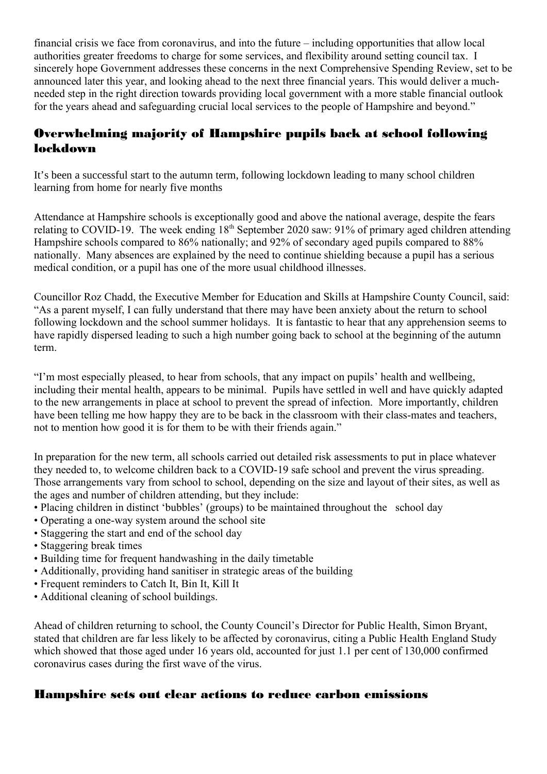financial crisis we face from coronavirus, and into the future – including opportunities that allow local authorities greater freedoms to charge for some services, and flexibility around setting council tax. I sincerely hope Government addresses these concerns in the next Comprehensive Spending Review, set to be announced later this year, and looking ahead to the next three financial years. This would deliver a muchneeded step in the right direction towards providing local government with a more stable financial outlook for the years ahead and safeguarding crucial local services to the people of Hampshire and beyond."

# Overwhelming majority of Hampshire pupils back at school following lockdown

It's been a successful start to the autumn term, following lockdown leading to many school children learning from home for nearly five months

Attendance at Hampshire schools is exceptionally good and above the national average, despite the fears relating to COVID-19. The week ending 18th September 2020 saw: 91% of primary aged children attending Hampshire schools compared to 86% nationally; and 92% of secondary aged pupils compared to 88% nationally. Many absences are explained by the need to continue shielding because a pupil has a serious medical condition, or a pupil has one of the more usual childhood illnesses.

Councillor Roz Chadd, the Executive Member for Education and Skills at Hampshire County Council, said: "As a parent myself, I can fully understand that there may have been anxiety about the return to school following lockdown and the school summer holidays. It is fantastic to hear that any apprehension seems to have rapidly dispersed leading to such a high number going back to school at the beginning of the autumn term.

"I'm most especially pleased, to hear from schools, that any impact on pupils' health and wellbeing, including their mental health, appears to be minimal. Pupils have settled in well and have quickly adapted to the new arrangements in place at school to prevent the spread of infection. More importantly, children have been telling me how happy they are to be back in the classroom with their class-mates and teachers, not to mention how good it is for them to be with their friends again."

In preparation for the new term, all schools carried out detailed risk assessments to put in place whatever they needed to, to welcome children back to a COVID-19 safe school and prevent the virus spreading. Those arrangements vary from school to school, depending on the size and layout of their sites, as well as the ages and number of children attending, but they include:

- Placing children in distinct 'bubbles' (groups) to be maintained throughout the school day
- Operating a one-way system around the school site
- Staggering the start and end of the school day
- Staggering break times
- Building time for frequent handwashing in the daily timetable
- Additionally, providing hand sanitiser in strategic areas of the building
- Frequent reminders to Catch It, Bin It, Kill It
- Additional cleaning of school buildings.

Ahead of children returning to school, the County Council's Director for Public Health, Simon Bryant, stated that children are far less likely to be affected by coronavirus, citing a Public Health England Study which showed that those aged under 16 years old, accounted for just 1.1 per cent of 130,000 confirmed coronavirus cases during the first wave of the virus.

## Hampshire sets out clear actions to reduce carbon emissions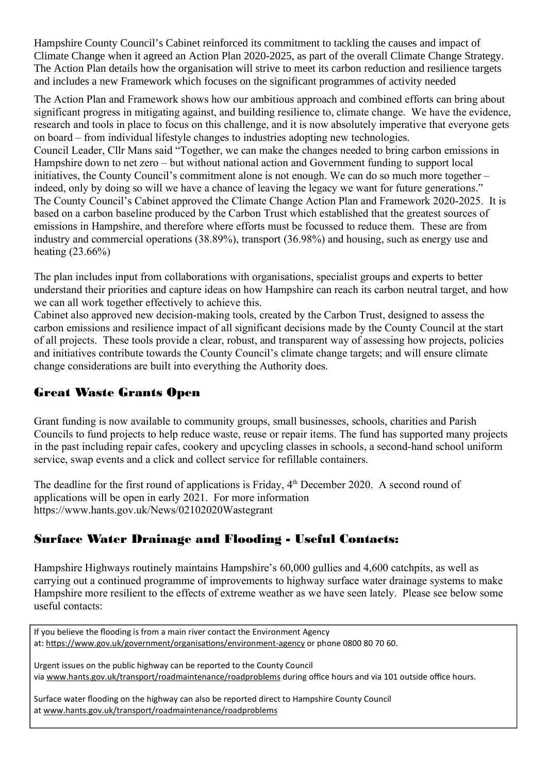Hampshire County Council's Cabinet reinforced its commitment to tackling the causes and impact of Climate Change when it agreed an Action Plan 2020-2025, as part of the overall Climate Change Strategy. The Action Plan details how the organisation will strive to meet its carbon reduction and resilience targets and includes a new Framework which focuses on the significant programmes of activity needed

The Action Plan and Framework shows how our ambitious approach and combined efforts can bring about significant progress in mitigating against, and building resilience to, climate change. We have the evidence, research and tools in place to focus on this challenge, and it is now absolutely imperative that everyone gets on board – from individual lifestyle changes to industries adopting new technologies. Council Leader, Cllr Mans said "Together, we can make the changes needed to bring carbon emissions in Hampshire down to net zero – but without national action and Government funding to support local initiatives, the County Council's commitment alone is not enough. We can do so much more together – indeed, only by doing so will we have a chance of leaving the legacy we want for future generations." The County Council's Cabinet approved the Climate Change Action Plan and Framework 2020-2025. It is based on a carbon baseline produced by the Carbon Trust which established that the greatest sources of emissions in Hampshire, and therefore where efforts must be focussed to reduce them. These are from industry and commercial operations (38.89%), transport (36.98%) and housing, such as energy use and heating (23.66%)

The plan includes input from collaborations with organisations, specialist groups and experts to better understand their priorities and capture ideas on how Hampshire can reach its carbon neutral target, and how we can all work together effectively to achieve this.

Cabinet also approved new decision-making tools, created by the Carbon Trust, designed to assess the carbon emissions and resilience impact of all significant decisions made by the County Council at the start of all projects. These tools provide a clear, robust, and transparent way of assessing how projects, policies and initiatives contribute towards the County Council's climate change targets; and will ensure climate change considerations are built into everything the Authority does.

## Great Waste Grants Open

Grant funding is now available to community groups, small businesses, schools, charities and Parish Councils to fund projects to help reduce waste, reuse or repair items. The fund has supported many projects in the past including repair cafes, cookery and upcycling classes in schools, a second-hand school uniform service, swap events and a click and collect service for refillable containers.

The deadline for the first round of applications is Friday,  $4<sup>th</sup>$  December 2020. A second round of applications will be open in early 2021. For more information https://www.hants.gov.uk/News/02102020Wastegrant

## Surface Water Drainage and Flooding - Useful Contacts:

Hampshire Highways routinely maintains Hampshire's 60,000 gullies and 4,600 catchpits, as well as carrying out a continued programme of improvements to highway surface water drainage systems to make Hampshire more resilient to the effects of extreme weather as we have seen lately. Please see below some useful contacts:

If you believe the flooding is from a main river contact the Environment Agency at: https://www.gov.uk/government/organisations/environment-agency or phone 0800 80 70 60.

Urgent issues on the public highway can be reported to the County Council via www.hants.gov.uk/transport/roadmaintenance/roadproblems during office hours and via 101 outside office hours.

Surface water flooding on the highway can also be reported direct to Hampshire County Council at www.hants.gov.uk/transport/roadmaintenance/roadproblems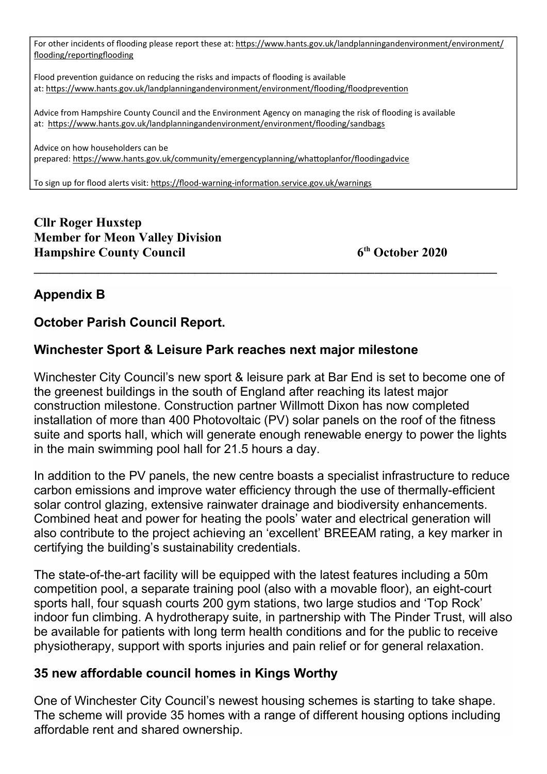For other incidents of flooding please report these at: https://www.hants.gov.uk/landplanningandenvironment/environment/ flooding/reportingflooding

Flood prevention guidance on reducing the risks and impacts of flooding is available at: https://www.hants.gov.uk/landplanningandenvironment/environment/flooding/floodprevention

Advice from Hampshire County Council and the Environment Agency on managing the risk of flooding is available at: https://www.hants.gov.uk/landplanningandenvironment/environment/flooding/sandbags

Advice on how householders can be prepared: hƩps://www.hants.gov.uk/community/emergencyplanning/whaƩoplanfor/floodingadvice

To sign up for flood alerts visit: https://flood-warning-information.service.gov.uk/warnings

Cllr Roger Huxstep Member for Meon Valley Division Hampshire County Council 6<sup>th</sup> October 2020

# Appendix B

# October Parish Council Report.

# Winchester Sport & Leisure Park reaches next major milestone

Winchester City Council's new sport & leisure park at Bar End is set to become one of the greenest buildings in the south of England after reaching its latest major construction milestone. Construction partner Willmott Dixon has now completed installation of more than 400 Photovoltaic (PV) solar panels on the roof of the fitness suite and sports hall, which will generate enough renewable energy to power the lights in the main swimming pool hall for 21.5 hours a day.

In addition to the PV panels, the new centre boasts a specialist infrastructure to reduce carbon emissions and improve water efficiency through the use of thermally-efficient solar control glazing, extensive rainwater drainage and biodiversity enhancements. Combined heat and power for heating the pools' water and electrical generation will also contribute to the project achieving an 'excellent' BREEAM rating, a key marker in certifying the building's sustainability credentials.

The state-of-the-art facility will be equipped with the latest features including a 50m competition pool, a separate training pool (also with a movable floor), an eight-court sports hall, four squash courts 200 gym stations, two large studios and 'Top Rock' indoor fun climbing. A hydrotherapy suite, in partnership with The Pinder Trust, will also be available for patients with long term health conditions and for the public to receive physiotherapy, support with sports injuries and pain relief or for general relaxation.

# 35 new affordable council homes in Kings Worthy

One of Winchester City Council's newest housing schemes is starting to take shape. The scheme will provide 35 homes with a range of different housing options including affordable rent and shared ownership.